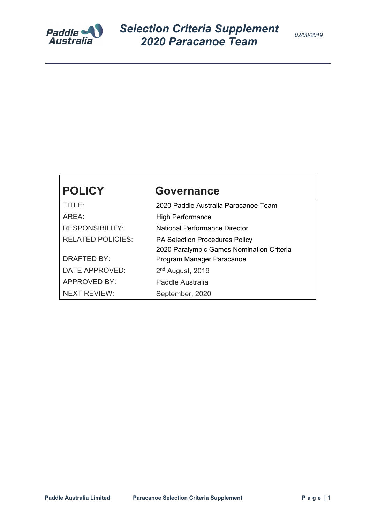

# **POLICY Governance** TITLE: 2020 Paddle Australia Paracanoe Team AREA: High Performance RESPONSIBILITY: National Performance Director RELATED POLICIES: PA Selection Procedures Policy 2020 Paralympic Games Nomination Criteria DRAFTED BY: Program Manager Paracanoe DATE APPROVED: 2<sup>nd</sup> August, 2019 APPROVED BY: Paddle Australia NEXT REVIEW: September, 2020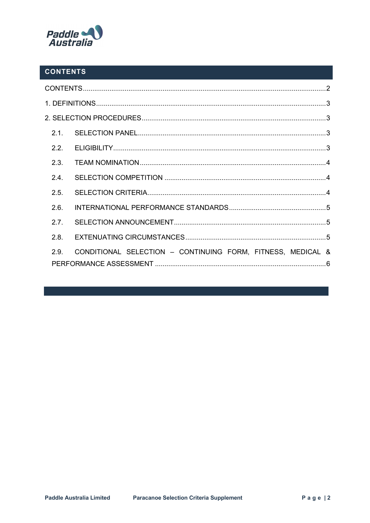

# **CONTENTS**

| 2.2. |                                                             |  |  |  |  |  |
|------|-------------------------------------------------------------|--|--|--|--|--|
| 2.3. |                                                             |  |  |  |  |  |
| 2.4. |                                                             |  |  |  |  |  |
| 2.5. |                                                             |  |  |  |  |  |
| 2.6. |                                                             |  |  |  |  |  |
| 2.7. |                                                             |  |  |  |  |  |
| 2.8. |                                                             |  |  |  |  |  |
| 2.9. | CONDITIONAL SELECTION - CONTINUING FORM, FITNESS, MEDICAL & |  |  |  |  |  |
|      |                                                             |  |  |  |  |  |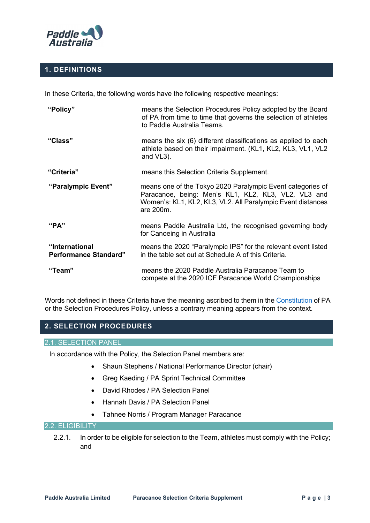

## **1. DEFINITIONS**

In these Criteria, the following words have the following respective meanings:

| "Policy"                                       | means the Selection Procedures Policy adopted by the Board<br>of PA from time to time that governs the selection of athletes<br>to Paddle Australia Teams.                                    |  |  |  |
|------------------------------------------------|-----------------------------------------------------------------------------------------------------------------------------------------------------------------------------------------------|--|--|--|
| "Class"                                        | means the six (6) different classifications as applied to each<br>athlete based on their impairment. (KL1, KL2, KL3, VL1, VL2<br>and VL3).                                                    |  |  |  |
| "Criteria"                                     | means this Selection Criteria Supplement.                                                                                                                                                     |  |  |  |
| "Paralympic Event"                             | means one of the Tokyo 2020 Paralympic Event categories of<br>Paracanoe, being: Men's KL1, KL2, KL3, VL2, VL3 and<br>Women's: KL1, KL2, KL3, VL2. All Paralympic Event distances<br>are 200m. |  |  |  |
| "PA"                                           | means Paddle Australia Ltd, the recognised governing body<br>for Canoeing in Australia                                                                                                        |  |  |  |
| "International<br><b>Performance Standard"</b> | means the 2020 "Paralympic IPS" for the relevant event listed<br>in the table set out at Schedule A of this Criteria.                                                                         |  |  |  |
| "Team"                                         | means the 2020 Paddle Australia Paracanoe Team to<br>compete at the 2020 ICF Paracanoe World Championships                                                                                    |  |  |  |

Words not defined in these Criteria have the meaning ascribed to them in the Constitution of PA or the Selection Procedures Policy, unless a contrary meaning appears from the context.

# **2. SELECTION PROCEDURES**

## 2.1. SELECTION PANEL

In accordance with the Policy, the Selection Panel members are:

- Shaun Stephens / National Performance Director (chair)
- Greg Kaeding / PA Sprint Technical Committee
- David Rhodes / PA Selection Panel
- Hannah Davis / PA Selection Panel
- Tahnee Norris / Program Manager Paracanoe

## 2.2. ELIGIBILITY

2.2.1. In order to be eligible for selection to the Team, athletes must comply with the Policy; and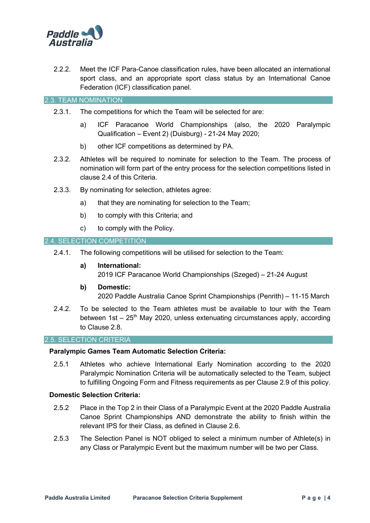

2.2.2. Meet the ICF Para-Canoe classification rules, have been allocated an international sport class, and an appropriate sport class status by an International Canoe Federation (ICF) classification panel.

2.3. TEAM NOMINATION

- 2.3.1. The competitions for which the Team will be selected for are:
	- a) ICF Paracanoe World Championships (also, the 2020 Paralympic Qualification – Event 2) (Duisburg) - 21-24 May 2020;
	- b) other ICF competitions as determined by PA.
- 2.3.2. Athletes will be required to nominate for selection to the Team. The process of nomination will form part of the entry process for the selection competitions listed in clause 2.4 of this Criteria.
- 2.3.3. By nominating for selection, athletes agree:
	- a) that they are nominating for selection to the Team;
	- b) to comply with this Criteria; and
	- c) to comply with the Policy.

#### 2.4. SELECTION COMPETITION

- 2.4.1. The following competitions will be utilised for selection to the Team:
	- **a) International:** 2019 ICF Paracanoe World Championships (Szeged) – 21-24 August
	- **b) Domestic:**  2020 Paddle Australia Canoe Sprint Championships (Penrith) – 11-15 March
- 2.4.2. To be selected to the Team athletes must be available to tour with the Team between 1st –  $25<sup>th</sup>$  May 2020, unless extenuating circumstances apply, according to Clause 2.8.

#### 2.5. SELECTION CRITERIA

#### **Paralympic Games Team Automatic Selection Criteria:**

2.5.1 Athletes who achieve International Early Nomination according to the 2020 Paralympic Nomination Criteria will be automatically selected to the Team, subject to fulfilling Ongoing Form and Fitness requirements as per Clause 2.9 of this policy.

## **Domestic Selection Criteria:**

- 2.5.2 Place in the Top 2 in their Class of a Paralympic Event at the 2020 Paddle Australia Canoe Sprint Championships AND demonstrate the ability to finish within the relevant IPS for their Class, as defined in Clause 2.6.
- 2.5.3 The Selection Panel is NOT obliged to select a minimum number of Athlete(s) in any Class or Paralympic Event but the maximum number will be two per Class.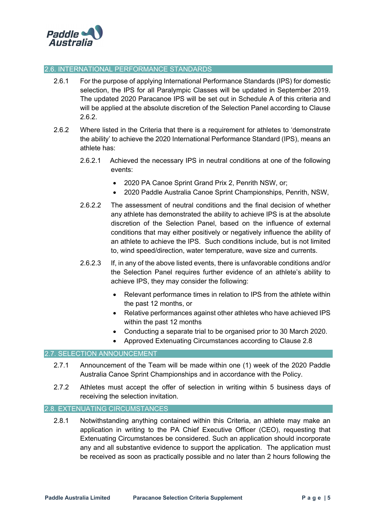

#### 2.6. INTERNATIONAL PERFORMANCE STANDARDS

- 2.6.1 For the purpose of applying International Performance Standards (IPS) for domestic selection, the IPS for all Paralympic Classes will be updated in September 2019. The updated 2020 Paracanoe IPS will be set out in Schedule A of this criteria and will be applied at the absolute discretion of the Selection Panel according to Clause 2.6.2.
- 2.6.2 Where listed in the Criteria that there is a requirement for athletes to 'demonstrate the ability' to achieve the 2020 International Performance Standard (IPS), means an athlete has:
	- 2.6.2.1 Achieved the necessary IPS in neutral conditions at one of the following events:
		- 2020 PA Canoe Sprint Grand Prix 2, Penrith NSW, or;
		- 2020 Paddle Australia Canoe Sprint Championships, Penrith, NSW,
	- 2.6.2.2 The assessment of neutral conditions and the final decision of whether any athlete has demonstrated the ability to achieve IPS is at the absolute discretion of the Selection Panel, based on the influence of external conditions that may either positively or negatively influence the ability of an athlete to achieve the IPS. Such conditions include, but is not limited to, wind speed/direction, water temperature, wave size and currents.
	- 2.6.2.3 If, in any of the above listed events, there is unfavorable conditions and/or the Selection Panel requires further evidence of an athlete's ability to achieve IPS, they may consider the following:
		- Relevant performance times in relation to IPS from the athlete within the past 12 months, or
		- Relative performances against other athletes who have achieved IPS within the past 12 months
		- Conducting a separate trial to be organised prior to 30 March 2020.
		- Approved Extenuating Circumstances according to Clause 2.8

#### 2.7. SELECTION ANNOUNCEMENT

- 2.7.1 Announcement of the Team will be made within one (1) week of the 2020 Paddle Australia Canoe Sprint Championships and in accordance with the Policy.
- 2.7.2 Athletes must accept the offer of selection in writing within 5 business days of receiving the selection invitation.

#### 2.8. EXTENUATING CIRCUMSTANCES

2.8.1 Notwithstanding anything contained within this Criteria, an athlete may make an application in writing to the PA Chief Executive Officer (CEO), requesting that Extenuating Circumstances be considered. Such an application should incorporate any and all substantive evidence to support the application. The application must be received as soon as practically possible and no later than 2 hours following the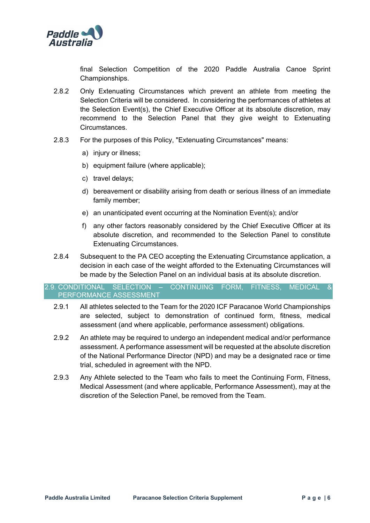

final Selection Competition of the 2020 Paddle Australia Canoe Sprint Championships.

- 2.8.2 Only Extenuating Circumstances which prevent an athlete from meeting the Selection Criteria will be considered. In considering the performances of athletes at the Selection Event(s), the Chief Executive Officer at its absolute discretion, may recommend to the Selection Panel that they give weight to Extenuating Circumstances.
- 2.8.3 For the purposes of this Policy, "Extenuating Circumstances" means:
	- a) injury or illness;
	- b) equipment failure (where applicable);
	- c) travel delays;
	- d) bereavement or disability arising from death or serious illness of an immediate family member;
	- e) an unanticipated event occurring at the Nomination Event(s); and/or
	- f) any other factors reasonably considered by the Chief Executive Officer at its absolute discretion, and recommended to the Selection Panel to constitute Extenuating Circumstances.
- 2.8.4 Subsequent to the PA CEO accepting the Extenuating Circumstance application, a decision in each case of the weight afforded to the Extenuating Circumstances will be made by the Selection Panel on an individual basis at its absolute discretion.

### 2.9. CONDITIONAL SELECTION – CONTINUING FORM, FITNESS, MEDICAL & PERFORMANCE ASSESSMENT

- 2.9.1 All athletes selected to the Team for the 2020 ICF Paracanoe World Championships are selected, subject to demonstration of continued form, fitness, medical assessment (and where applicable, performance assessment) obligations.
- 2.9.2 An athlete may be required to undergo an independent medical and/or performance assessment. A performance assessment will be requested at the absolute discretion of the National Performance Director (NPD) and may be a designated race or time trial, scheduled in agreement with the NPD.
- 2.9.3 Any Athlete selected to the Team who fails to meet the Continuing Form, Fitness, Medical Assessment (and where applicable, Performance Assessment), may at the discretion of the Selection Panel, be removed from the Team.